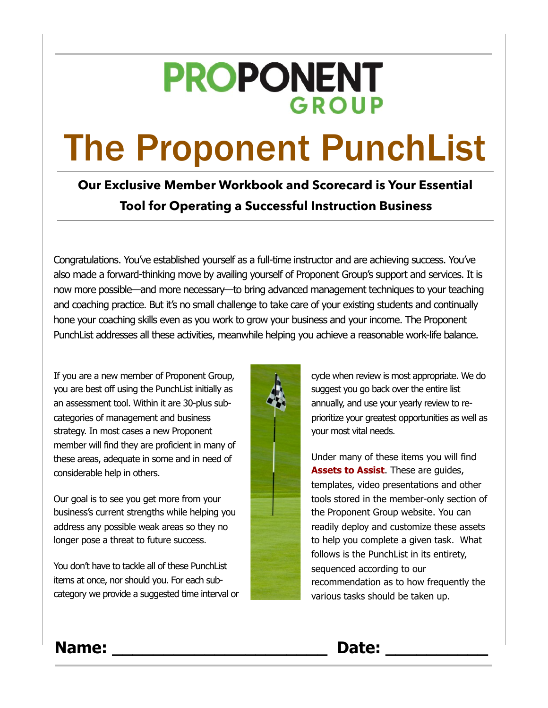## **PROPONENT GROUP**

# The Proponent PunchList

## **Our Exclusive Member Workbook and Scorecard is Your Essential Tool for Operating a Successful Instruction Business**

Congratulations. You've established yourself as a full-time instructor and are achieving success. You've also made a forward-thinking move by availing yourself of Proponent Group's support and services. It is now more possible—and more necessary—to bring advanced management techniques to your teaching and coaching practice. But it's no small challenge to take care of your existing students and continually hone your coaching skills even as you work to grow your business and your income. The Proponent PunchList addresses all these activities, meanwhile helping you achieve a reasonable work-life balance.

If you are a new member of Proponent Group, you are best off using the PunchList initially as an assessment tool. Within it are 30-plus subcategories of management and business strategy. In most cases a new Proponent member will find they are proficient in many of these areas, adequate in some and in need of considerable help in others.

Our goal is to see you get more from your business's current strengths while helping you address any possible weak areas so they no longer pose a threat to future success.

You don't have to tackle all of these PunchList items at once, nor should you. For each subcategory we provide a suggested time interval or



cycle when review is most appropriate. We do suggest you go back over the entire list annually, and use your yearly review to reprioritize your greatest opportunities as well as your most vital needs.

Under many of these items you will find **Assets to Assist**. These are guides, templates, video presentations and other tools stored in the member-only section of the Proponent Group website. You can readily deploy and customize these assets to help you complete a given task. What follows is the PunchList in its entirety, sequenced according to our recommendation as to how frequently the various tasks should be taken up.

## **Name: \_\_\_\_\_\_\_\_\_\_\_\_\_\_\_\_\_\_\_\_\_ Date: \_\_\_\_\_\_\_\_\_\_**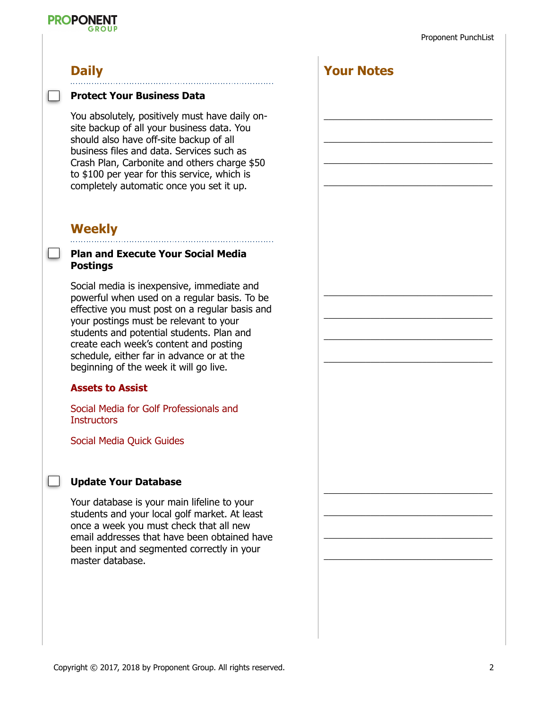## **PROPONENT**

## **Daily**

#### **Protect Your Business Data**

You absolutely, positively must have daily onsite backup of all your business data. You should also have off-site backup of all business files and data. Services such as Crash Plan, Carbonite and others charge \$50 to \$100 per year for this service, which is completely automatic once you set it up.

## **Weekly**

#### **Plan and Execute Your Social Media Postings**

Social media is inexpensive, immediate and powerful when used on a regular basis. To be effective you must post on a regular basis and your postings must be relevant to your students and potential students. Plan and create each week's content and posting schedule, either far in advance or at the beginning of the week it will go live.

#### **Assets to Assist**

Social Media for Golf Professionals and **Instructors** 

Social Media Quick Guides

#### **Update Your Database**

Your database is your main lifeline to your students and your local golf market. At least once a week you must check that all new email addresses that have been obtained have been input and segmented correctly in your master database.



 $\mathcal{L}_\text{max}$  and  $\mathcal{L}_\text{max}$  and  $\mathcal{L}_\text{max}$  and  $\mathcal{L}_\text{max}$ 

 $\overline{\phantom{a}}$  , and the contract of the contract of  $\overline{\phantom{a}}$ 

 $\overline{\phantom{a}}$  , and the contract of the contract of the contract of the contract of the contract of the contract of the contract of the contract of the contract of the contract of the contract of the contract of the contrac

 $\overline{\phantom{a}}$  , and the contract of the contract of the contract of the contract of the contract of the contract of the contract of the contract of the contract of the contract of the contract of the contract of the contrac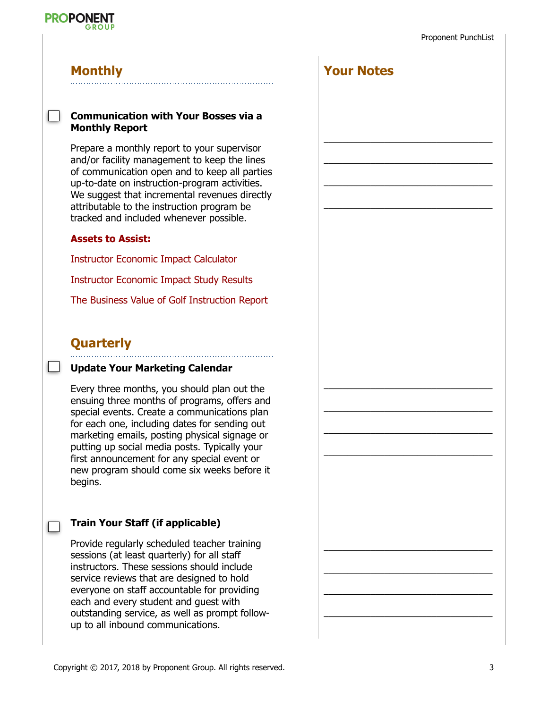

#### **Monthly**

#### **Communication with Your Bosses via a Monthly Report**

Prepare a monthly report to your supervisor and/or facility management to keep the lines of communication open and to keep all parties up-to-date on instruction-program activities. We suggest that incremental revenues directly attributable to the instruction program be tracked and included whenever possible.

#### **Assets to Assist:**

Instructor Economic Impact Calculator

Instructor Economic Impact Study Results

The Business Value of Golf Instruction Report

#### **Quarterly**

 $\overline{\phantom{a}}$ 

#### **Update Your Marketing Calendar**

Every three months, you should plan out the ensuing three months of programs, offers and special events. Create a communications plan for each one, including dates for sending out marketing emails, posting physical signage or putting up social media posts. Typically your first announcement for any special event or new program should come six weeks before it begins.

#### **Train Your Staff (if applicable)**

Provide regularly scheduled teacher training sessions (at least quarterly) for all staff instructors. These sessions should include service reviews that are designed to hold everyone on staff accountable for providing each and every student and guest with outstanding service, as well as prompt followup to all inbound communications.

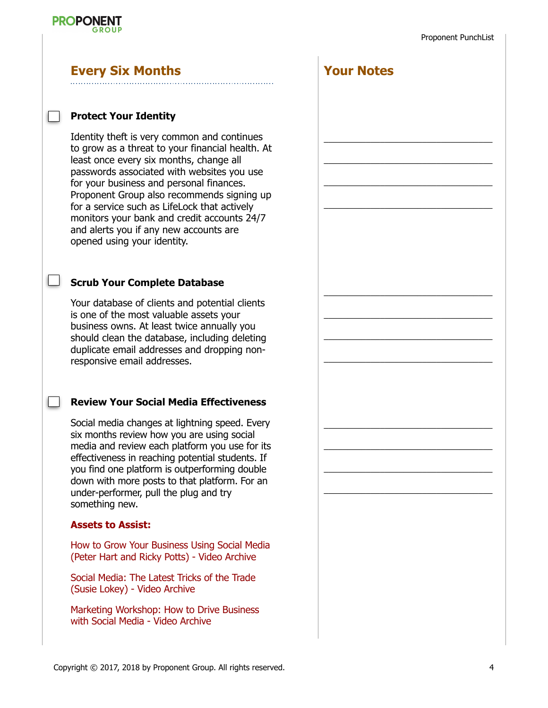**Your Notes**

 $\mathcal{L}_\text{max}$  and  $\mathcal{L}_\text{max}$  and  $\mathcal{L}_\text{max}$  and  $\mathcal{L}_\text{max}$ 

 $\mathcal{L}_\text{max}$  and  $\mathcal{L}_\text{max}$  and  $\mathcal{L}_\text{max}$  and  $\mathcal{L}_\text{max}$ 

 $\overline{\phantom{a}}$  , and the contract of the contract of  $\overline{\phantom{a}}$ 

 $\overline{\phantom{a}}$  , and the contract of the contract of the contract of the contract of the contract of the contract of the contract of the contract of the contract of the contract of the contract of the contract of the contrac

 $\overline{\phantom{a}}$  , and the contract of the contract of  $\overline{\phantom{a}}$ 

 $\overline{\phantom{a}}$  , and the contract of the contract of the contract of the contract of the contract of the contract of the contract of the contract of the contract of the contract of the contract of the contract of the contrac

 $\overline{\phantom{a}}$  , and the contract of the contract of the contract of the contract of the contract of the contract of the contract of the contract of the contract of the contract of the contract of the contract of the contrac

 $\mathcal{L}_\text{max}$  and  $\mathcal{L}_\text{max}$  and  $\mathcal{L}_\text{max}$  and  $\mathcal{L}_\text{max}$ 

 $\overline{\phantom{a}}$  , and the contract of the contract of the contract of the contract of the contract of the contract of the contract of the contract of the contract of the contract of the contract of the contract of the contrac

 $\overline{\phantom{a}}$  , and the contract of the contract of the contract of the contract of the contract of the contract of the contract of the contract of the contract of the contract of the contract of the contract of the contrac

 $\mathcal{L}_\text{max}$  and  $\mathcal{L}_\text{max}$  and  $\mathcal{L}_\text{max}$  and  $\mathcal{L}_\text{max}$ 

 $\mathcal{L}_\text{max}$  and  $\mathcal{L}_\text{max}$  and  $\mathcal{L}_\text{max}$  and  $\mathcal{L}_\text{max}$ 



#### **Every Six Months**

#### **Protect Your Identity**

Identity theft is very common and continues to grow as a threat to your financial health. At least once every six months, change all passwords associated with websites you use for your business and personal finances. Proponent Group also recommends signing up for a service such as LifeLock that actively monitors your bank and credit accounts 24/7 and alerts you if any new accounts are opened using your identity.

#### **Scrub Your Complete Database**

Your database of clients and potential clients is one of the most valuable assets your business owns. At least twice annually you should clean the database, including deleting duplicate email addresses and dropping nonresponsive email addresses.

#### **Review Your Social Media Effectiveness**

Social media changes at lightning speed. Every six months review how you are using social media and review each platform you use for its effectiveness in reaching potential students. If you find one platform is outperforming double down with more posts to that platform. For an under-performer, pull the plug and try something new.

#### **Assets to Assist:**

How to Grow Your Business Using Social Media (Peter Hart and Ricky Potts) - Video Archive

Social Media: The Latest Tricks of the Trade (Susie Lokey) - Video Archive

Marketing Workshop: How to Drive Business with Social Media - Video Archive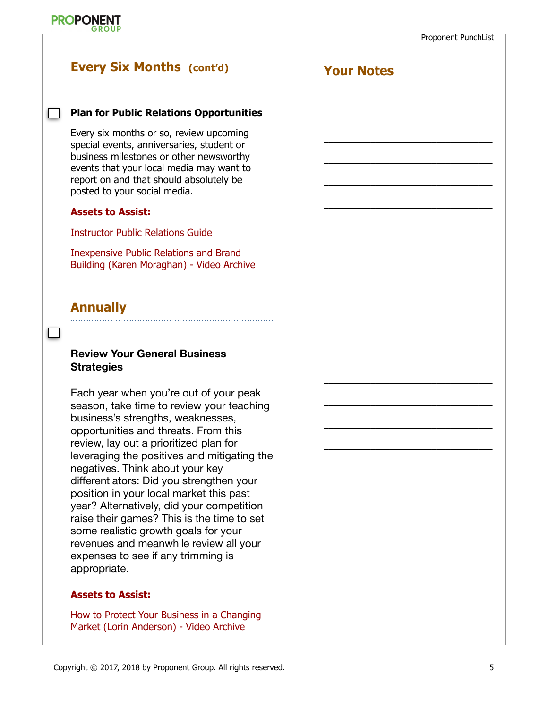

#### **Every Six Months (cont'd)**

#### **Plan for Public Relations Opportunities**

Every six months or so, review upcoming special events, anniversaries, student or business milestones or other newsworthy events that your local media may want to report on and that should absolutely be posted to your social media.

#### **Assets to Assist:**

Instructor Public Relations Guide

Inexpensive Public Relations and Brand Building (Karen Moraghan) - Video Archive

#### **Annually**

#### **Review Your General Business Strategies**

Each year when you're out of your peak season, take time to review your teaching business's strengths, weaknesses, opportunities and threats. From this review, lay out a prioritized plan for leveraging the positives and mitigating the negatives. Think about your key differentiators: Did you strengthen your position in your local market this past year? Alternatively, did your competition raise their games? This is the time to set some realistic growth goals for your revenues and meanwhile review all your expenses to see if any trimming is appropriate.

#### **Assets to Assist:**

How to Protect Your Business in a Changing Market (Lorin Anderson) - Video Archive

**Your Notes**  $\mathcal{L}_\text{max}$  and  $\mathcal{L}_\text{max}$  and  $\mathcal{L}_\text{max}$  and  $\mathcal{L}_\text{max}$  $\mathcal{L}_\text{max}$  and  $\mathcal{L}_\text{max}$  and  $\mathcal{L}_\text{max}$  and  $\mathcal{L}_\text{max}$  $\overline{\phantom{a}}$  , and the contract of the contract of  $\overline{\phantom{a}}$  $\overline{\phantom{a}}$  , and the contract of the contract of the contract of the contract of the contract of the contract of the contract of the contract of the contract of the contract of the contract of the contract of the contrac  $\mathcal{L}_\text{max}$  and  $\mathcal{L}_\text{max}$  and  $\mathcal{L}_\text{max}$  and  $\mathcal{L}_\text{max}$  $\overline{\phantom{a}}$  , and the contract of the contract of  $\overline{\phantom{a}}$  $\overline{\phantom{a}}$  , and the contract of the contract of the contract of the contract of the contract of the contract of the contract of the contract of the contract of the contract of the contract of the contract of the contrac  $\overline{\phantom{a}}$  , and the contract of the contract of the contract of the contract of the contract of the contract of the contract of the contract of the contract of the contract of the contract of the contract of the contrac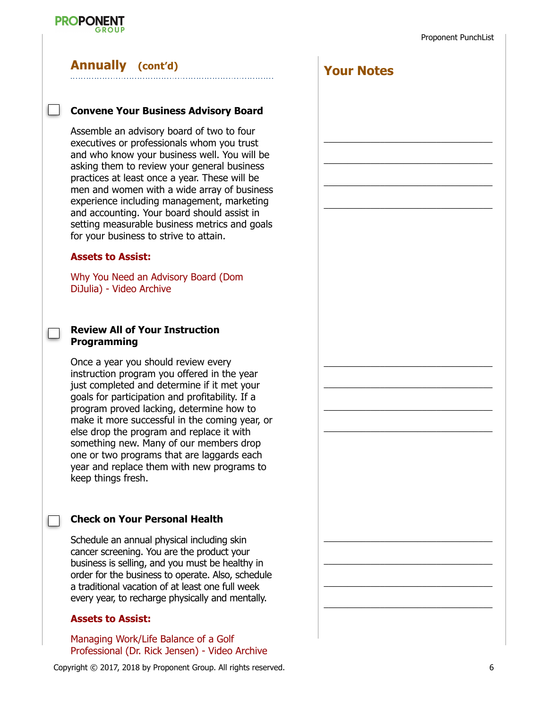

#### **Annually (cont'd)**

#### **Convene Your Business Advisory Board**

Assemble an advisory board of two to four executives or professionals whom you trust and who know your business well. You will be asking them to review your general business practices at least once a year. These will be men and women with a wide array of business experience including management, marketing and accounting. Your board should assist in setting measurable business metrics and goals for your business to strive to attain.

#### **Assets to Assist:**

 $\blacksquare$ 

Why You Need an Advisory Board (Dom DiJulia) - Video Archive

#### **Review All of Your Instruction Programming**

Once a year you should review every instruction program you offered in the year just completed and determine if it met your goals for participation and profitability. If a program proved lacking, determine how to make it more successful in the coming year, or else drop the program and replace it with something new. Many of our members drop one or two programs that are laggards each year and replace them with new programs to keep things fresh.

#### **Check on Your Personal Health**

Schedule an annual physical including skin cancer screening. You are the product your business is selling, and you must be healthy in order for the business to operate. Also, schedule a traditional vacation of at least one full week every year, to recharge physically and mentally.

#### **Assets to Assist:**

Managing Work/Life Balance of a Golf Professional (Dr. Rick Jensen) - Video Archive

Copyright © 2017, 2018 by Proponent Group. All rights reserved. 6

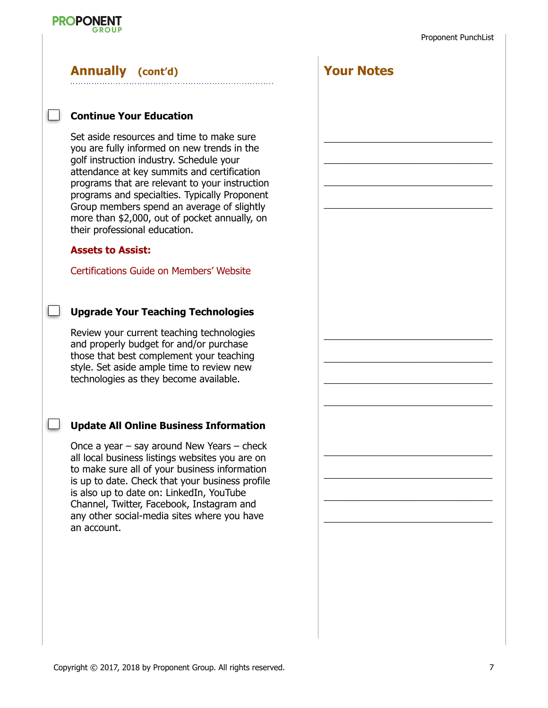

#### **Annually (cont'd)**

#### **Continue Your Education**

Set aside resources and time to make sure you are fully informed on new trends in the golf instruction industry. Schedule your attendance at key summits and certification programs that are relevant to your instruction programs and specialties. Typically Proponent Group members spend an average of slightly more than \$2,000, out of pocket annually, on their professional education.

#### **Assets to Assist:**

 $\Box$ 

 $\Box$ 

Certifications Guide on Members' Website

#### **Upgrade Your Teaching Technologies**

Review your current teaching technologies and properly budget for and/or purchase those that best complement your teaching style. Set aside ample time to review new technologies as they become available.

#### **Update All Online Business Information**

Once a year – say around New Years – check all local business listings websites you are on to make sure all of your business information is up to date. Check that your business profile is also up to date on: LinkedIn, YouTube Channel, Twitter, Facebook, Instagram and any other social-media sites where you have an account.

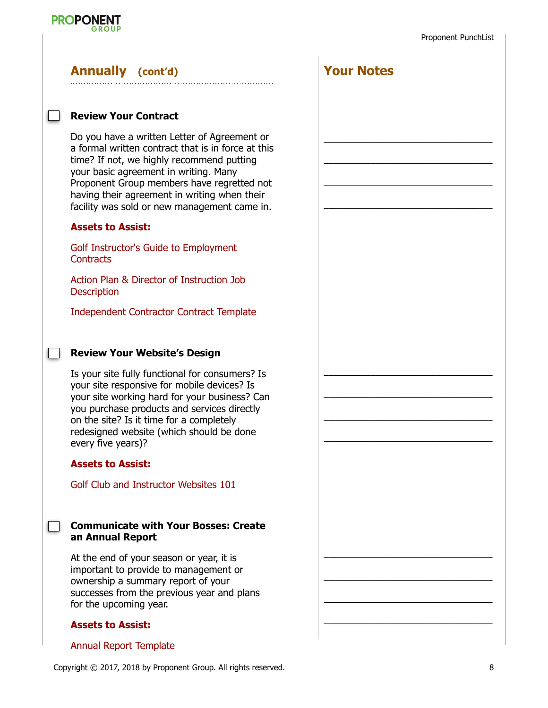**Your Notes**



### **Annually (cont'd)**

#### **Review Your Contract**

Do you have a written Letter of Agreement or a formal written contract that is in force at this time? If not, we highly recommend putting your basic agreement in writing. Many Proponent Group members have regretted not having their agreement in writing when their facility was sold or new management came in.

#### **Assets to Assist:**

Golf Instructor's Guide to Employment **Contracts** 

Action Plan & Director of Instruction Job **Description** 

Independent Contractor Contract Template

#### **Review Your Website's Design**

Is your site fully functional for consumers? Is your site responsive for mobile devices? Is your site working hard for your business? Can you purchase products and services directly on the site? Is it time for a completely redesigned website (which should be done every five years)?

#### **Assets to Assist:**

 $\overline{\phantom{a}}$ 

Golf Club and Instructor Websites 101

#### **Communicate with Your Bosses: Create an Annual Report**

At the end of your season or year, it is important to provide to management or ownership a summary report of your successes from the previous year and plans for the upcoming year.

#### **Assets to Assist:**

#### Annual Report Template

Copyright © 2017, 2018 by Proponent Group. All rights reserved. 8

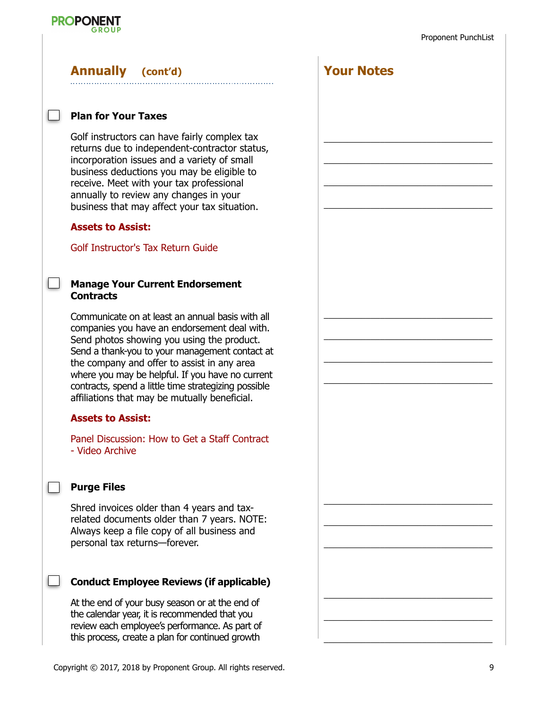## **PROPONENT**

## **Annually (cont'd)**

#### **Plan for Your Taxes**

Golf instructors can have fairly complex tax returns due to independent-contractor status, incorporation issues and a variety of small business deductions you may be eligible to receive. Meet with your tax professional annually to review any changes in your business that may affect your tax situation.

#### **Assets to Assist:**

Golf Instructor's Tax Return Guide

#### **Manage Your Current Endorsement Contracts**

Communicate on at least an annual basis with all companies you have an endorsement deal with. Send photos showing you using the product. Send a thank-you to your management contact at the company and offer to assist in any area where you may be helpful. If you have no current contracts, spend a little time strategizing possible affiliations that may be mutually beneficial.

#### **Assets to Assist:**

Panel Discussion: How to Get a Staff Contract - Video Archive

#### **Purge Files**

Shred invoices older than 4 years and taxrelated documents older than 7 years. NOTE: Always keep a file copy of all business and personal tax returns—forever.

#### **Conduct Employee Reviews (if applicable)**

At the end of your busy season or at the end of the calendar year, it is recommended that you review each employee's performance. As part of this process, create a plan for continued growth

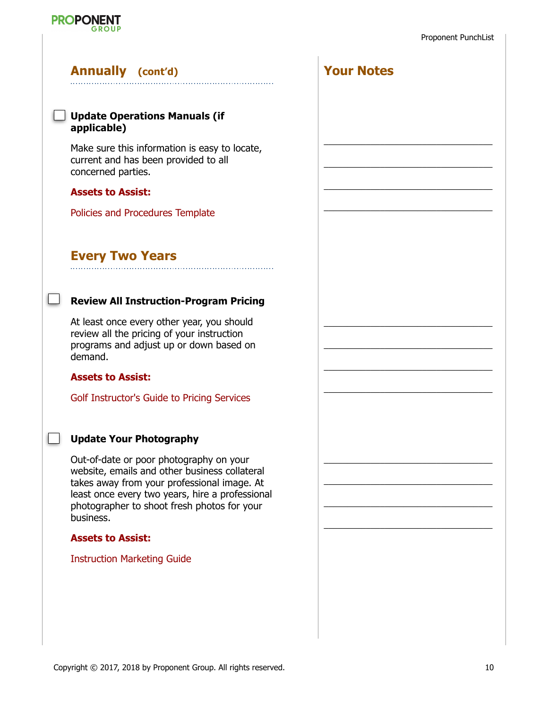

**Your Notes**

 $\mathcal{L}_\text{max}$  and  $\mathcal{L}_\text{max}$  and  $\mathcal{L}_\text{max}$  and  $\mathcal{L}_\text{max}$ 

 $\overline{\phantom{a}}$  , and the contract of the contract of  $\overline{\phantom{a}}$ 

 $\overline{\phantom{a}}$  , and the contract of the contract of the contract of the contract of the contract of the contract of the contract of the contract of the contract of the contract of the contract of the contract of the contrac

 $\overline{\phantom{a}}$  , and the contract of the contract of the contract of the contract of the contract of the contract of the contract of the contract of the contract of the contract of the contract of the contract of the contrac

 $\overline{\phantom{a}}$  , and the contract of the contract of the contract of the contract of the contract of the contract of the contract of the contract of the contract of the contract of the contract of the contract of the contrac

 $\mathcal{L}_\text{max}$  and  $\mathcal{L}_\text{max}$  and  $\mathcal{L}_\text{max}$  and  $\mathcal{L}_\text{max}$ 

 $\mathcal{L}_\text{max}$  and  $\mathcal{L}_\text{max}$  and  $\mathcal{L}_\text{max}$  and  $\mathcal{L}_\text{max}$ 

 $\overline{\phantom{a}}$  , and the contract of the contract of  $\overline{\phantom{a}}$ 

 $\overline{\phantom{a}}$  , and the contract of the contract of the contract of the contract of the contract of the contract of the contract of the contract of the contract of the contract of the contract of the contract of the contrac

 $\overline{\phantom{a}}$  , and the contract of the contract of the contract of the contract of the contract of the contract of the contract of the contract of the contract of the contract of the contract of the contract of the contrac

 $\mathcal{L}_\text{max}$  and  $\mathcal{L}_\text{max}$  and  $\mathcal{L}_\text{max}$  and  $\mathcal{L}_\text{max}$ 

 $\mathcal{L}_\text{max}$  and  $\mathcal{L}_\text{max}$  and  $\mathcal{L}_\text{max}$  and  $\mathcal{L}_\text{max}$ 

#### **Annually (cont'd)**

**PROPONENT** 

#### **Update Operations Manuals (if applicable)**

Make sure this information is easy to locate, current and has been provided to all concerned parties.

#### **Assets to Assist:**

Policies and Procedures Template

#### **Every Two Years**

#### **Review All Instruction-Program Pricing**

At least once every other year, you should review all the pricing of your instruction programs and adjust up or down based on demand.

#### **Assets to Assist:**

 $\mathcal{L}^{\text{max}}$ 

Golf Instructor's Guide to Pricing Services

#### **Update Your Photography**

Out-of-date or poor photography on your website, emails and other business collateral takes away from your professional image. At least once every two years, hire a professional photographer to shoot fresh photos for your business.

#### **Assets to Assist:**

#### **Instruction Marketing Guide**

| ide |  |  |
|-----|--|--|
|     |  |  |
|     |  |  |
|     |  |  |
|     |  |  |
|     |  |  |
|     |  |  |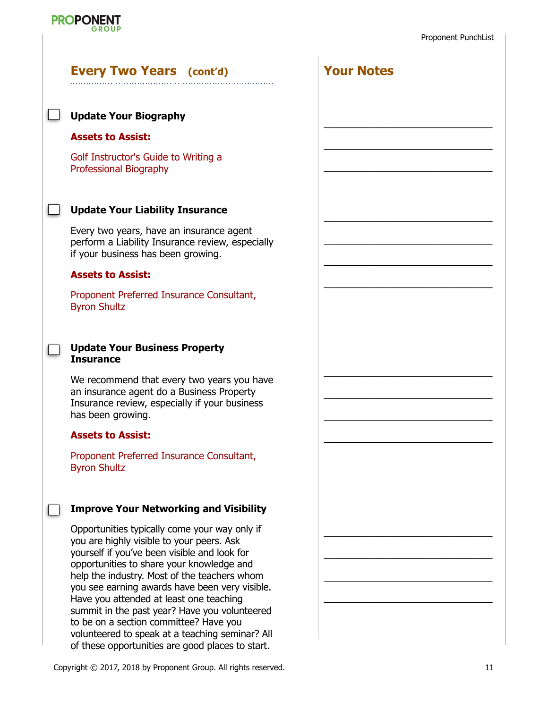

| <b>Every Two Years</b> (cont'd)                                                                                                                                                                                                                                                                                                                                                                                                 | <b>Your Notes</b> |  |
|---------------------------------------------------------------------------------------------------------------------------------------------------------------------------------------------------------------------------------------------------------------------------------------------------------------------------------------------------------------------------------------------------------------------------------|-------------------|--|
| <b>Update Your Biography</b>                                                                                                                                                                                                                                                                                                                                                                                                    |                   |  |
| <b>Assets to Assist:</b>                                                                                                                                                                                                                                                                                                                                                                                                        |                   |  |
| Golf Instructor's Guide to Writing a<br>Professional Biography                                                                                                                                                                                                                                                                                                                                                                  |                   |  |
| <b>Update Your Liability Insurance</b>                                                                                                                                                                                                                                                                                                                                                                                          |                   |  |
| Every two years, have an insurance agent<br>perform a Liability Insurance review, especially<br>if your business has been growing.                                                                                                                                                                                                                                                                                              |                   |  |
| <b>Assets to Assist:</b>                                                                                                                                                                                                                                                                                                                                                                                                        |                   |  |
| Proponent Preferred Insurance Consultant,<br><b>Byron Shultz</b>                                                                                                                                                                                                                                                                                                                                                                |                   |  |
| <b>Update Your Business Property</b><br><b>Insurance</b>                                                                                                                                                                                                                                                                                                                                                                        |                   |  |
| We recommend that every two years you have<br>an insurance agent do a Business Property<br>Insurance review, especially if your business<br>has been growing.                                                                                                                                                                                                                                                                   |                   |  |
| <b>Assets to Assist:</b>                                                                                                                                                                                                                                                                                                                                                                                                        |                   |  |
| Proponent Preferred Insurance Consultant,<br><b>Byron Shultz</b>                                                                                                                                                                                                                                                                                                                                                                |                   |  |
| <b>Improve Your Networking and Visibility</b>                                                                                                                                                                                                                                                                                                                                                                                   |                   |  |
| Opportunities typically come your way only if<br>you are highly visible to your peers. Ask<br>yourself if you've been visible and look for<br>opportunities to share your knowledge and<br>help the industry. Most of the teachers whom<br>you see earning awards have been very visible.<br>Have you attended at least one teaching<br>summit in the past year? Have you volunteered<br>to be on a section committee? Have you |                   |  |

volunteered to speak at a teaching seminar? All of these opportunities are good places to start.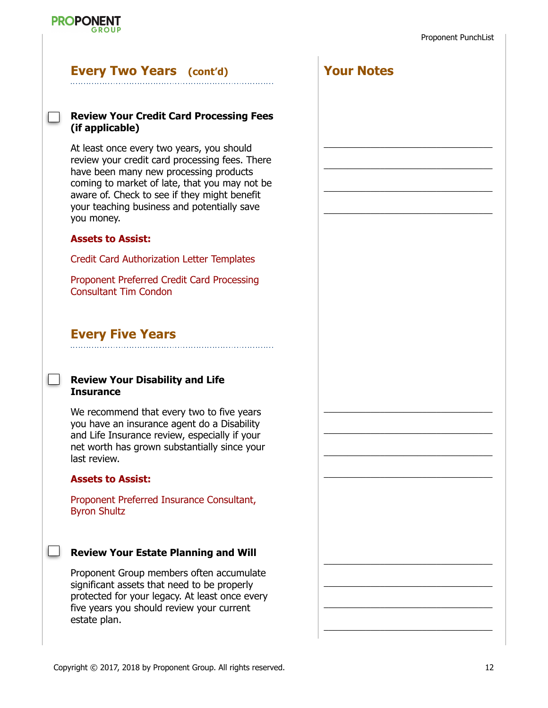

#### **Every Two Years (cont'd)**

#### **Review Your Credit Card Processing Fees (if applicable)**

At least once every two years, you should review your credit card processing fees. There have been many new processing products coming to market of late, that you may not be aware of. Check to see if they might benefit your teaching business and potentially save you money.

#### **Assets to Assist:**

**PROPONENT** 

Credit Card Authorization Letter Templates

Proponent Preferred Credit Card Processing Consultant Tim Condon

#### **Every Five Years**

#### **Review Your Disability and Life Insurance**

We recommend that every two to five years you have an insurance agent do a Disability and Life Insurance review, especially if your net worth has grown substantially since your last review.

#### **Assets to Assist:**

Proponent Preferred Insurance Consultant, Byron Shultz

#### **Review Your Estate Planning and Will**

Proponent Group members often accumulate significant assets that need to be properly protected for your legacy. At least once every five years you should review your current estate plan.

**Your Notes**

 $\mathcal{L}_\text{max}$  and  $\mathcal{L}_\text{max}$  and  $\mathcal{L}_\text{max}$  and  $\mathcal{L}_\text{max}$ 

 $\mathcal{L}_\text{max}$  and  $\mathcal{L}_\text{max}$  and  $\mathcal{L}_\text{max}$  and  $\mathcal{L}_\text{max}$ 

 $\overline{\phantom{a}}$  , and the contract of the contract of  $\overline{\phantom{a}}$ 

 $\overline{\phantom{a}}$  , and the contract of the contract of the contract of the contract of the contract of the contract of the contract of the contract of the contract of the contract of the contract of the contract of the contrac

 $\overline{\phantom{a}}$  , and the contract of the contract of the contract of the contract of the contract of the contract of the contract of the contract of the contract of the contract of the contract of the contract of the contrac

 $\overline{\phantom{a}}$  , and the contract of the contract of the contract of the contract of the contract of the contract of the contract of the contract of the contract of the contract of the contract of the contract of the contrac

 $\mathcal{L}_\text{max}$  and  $\mathcal{L}_\text{max}$  and  $\mathcal{L}_\text{max}$  and  $\mathcal{L}_\text{max}$ 

 $\mathcal{L}_\text{max}$  and  $\mathcal{L}_\text{max}$  and  $\mathcal{L}_\text{max}$  and  $\mathcal{L}_\text{max}$ 

 $\overline{\phantom{a}}$  , and the contract of the contract of  $\overline{\phantom{a}}$ 

 $\overline{\phantom{a}}$  , and the contract of the contract of the contract of the contract of the contract of the contract of the contract of the contract of the contract of the contract of the contract of the contract of the contrac

 $\overline{\phantom{a}}$  , and the contract of the contract of the contract of the contract of the contract of the contract of the contract of the contract of the contract of the contract of the contract of the contract of the contrac

 $\mathcal{L}_\text{max}$  and  $\mathcal{L}_\text{max}$  and  $\mathcal{L}_\text{max}$  and  $\mathcal{L}_\text{max}$